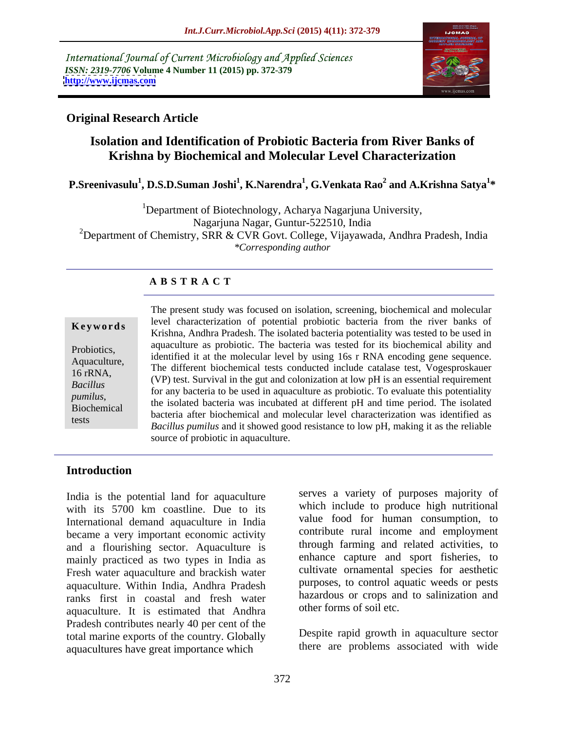International Journal of Current Microbiology and Applied Sciences *ISSN: 2319-7706* **Volume 4 Number 11 (2015) pp. 372-379 <http://www.ijcmas.com>**



### **Original Research Article**

### **Isolation and Identification of Probiotic Bacteria from River Banks of Krishna by Biochemical and Molecular Level Characterization**

#### $\mathbf{P}.\mathbf{S}$ reenivasulu<sup>1</sup>,  $\mathbf{D}.\mathbf{S}.\mathbf{D}.\mathbf{S}$ uman Joshi<sup>1</sup>,  $\mathbf{K}.\mathbf{N}$ arendra<sup>1</sup>,  $\mathbf{G}.\mathbf{V}$ enkata Rao $^2$  and  $\mathbf{A}.\mathbf{K}$ rishna  $\mathbf{S}$ atya $^{1*}$  **and A.Krishna Satya1 \***

<sup>1</sup>Department of Biotechnology, Acharya Nagarjuna University, Nagarjuna Nagar, Guntur-522510, India <sup>2</sup>Department of Chemistry, SRR & CVR Govt. College, Vijayawada, Andhra Pradesh, India *\*Corresponding author*

### **A B S T R A C T**

tests

The present study was focused on isolation, screening, biochemical and molecular level characterization of potential probiotic bacteria from the river banks of **Keywords** Ever characterization of potential problems bacteria from the fiver banks of Krishna, Andhra Pradesh. The isolated bacteria potentiality was tested to be used in aquaculture as probiotic. The bacteria was tested for its biochemical ability and Probiotics,<br>Ague alternative dentified it at the molecular level by using 16s r RNA encoding gene sequence. Aquaculture,<br>The different biochemical tests conducted include catalase test, Vogesproskauer 16 rRNA,<br>
(VP) test. Survival in the gut and colonization at low pH is an essential requirement for any bacteria to be used in aquaculture as probiotic. To evaluate this potentiality *Bacillus*  pumilus,<br>Biochemical the isolated bacteria was incubated at different pH and time period. The isolated<br>*photosic often* his bacterial and marked about the actorization was identified as bacteria after biochemical and molecular level characterization was identified as *Bacillus pumilus* and it showed good resistance to low pH, making it as the reliable source of probiotic in aquaculture.

### **Introduction**

India is the potential land for aquaculture with its 5700 km coastline. Due to its which include to produce high nutritional International demand aquaculture in India became a very important economic activity and a flourishing sector. Aquaculture is mainly practiced as two types in India as Fresh water aquaculture and brackish water aquaculture. Within India, Andhra Pradesh ranks first in coastal and fresh water aquaculture. It is estimated that Andhra Pradesh contributes nearly 40 per cent of the total marine exports of the country. Globally aquacultures have great importance which

serves a variety of purposes majority of which include to produce high nutritional value food for human consumption, to contribute rural income and employment through farming and related activities, to enhance capture and sport fisheries, to cultivate ornamental species for aesthetic purposes, to control aquatic weeds or pests hazardous or crops and to salinization and other forms of soil etc.

Despite rapid growth in aquaculture sector there are problems associated with wide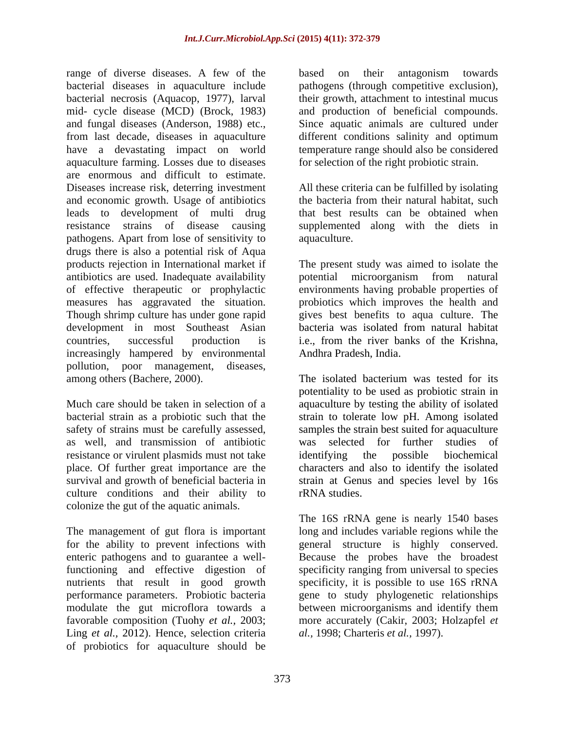range of diverse diseases. A few of the based on their antagonism towards bacterial diseases in aquaculture include pathogens (through competitive exclusion), bacterial necrosis (Aquacop, 1977), larval mid- cycle disease (MCD) (Brock, 1983) and fungal diseases (Anderson, 1988) etc., Since aquatic animals are cultured under from last decade, diseases in aquaculture different conditions salinity and optimum have a devastating impact on world temperature range should also be considered aquaculture farming. Losses due to diseases are enormous and difficult to estimate. Diseases increase risk, deterring investment All these criteria can be fulfilled by isolating and economic growth. Usage of antibiotics leads to development of multi drug that best results can be obtained when resistance strains of disease causing supplemented along with the diets in pathogens. Apart from lose of sensitivity to drugs there is also a potential risk of Aqua products rejection in International market if The present study was aimed to isolate the antibiotics are used. Inadequate availability of effective therapeutic or prophylactic environments having probable properties of measures has aggravated the situation. In probiotics which improves the health and Though shrimp culture has under gone rapid gives best benefits to aqua culture. The development in most Southeast Asian bacteria was isolated from natural habitat countries, successful production is i.e., from the river banks of the Krishna, increasingly hampered by environmental pollution, poor management, diseases, among others (Bachere, 2000). The isolated bacterium was tested for its

safety of strains must be carefully assessed, as well, and transmission of antibiotic resistance or virulent plasmids must not take identifying the possible biochemical place. Of further great importance are the characters and also to identify the isolated culture conditions and their ability to rRNA studies. colonize the gut of the aquatic animals.

Ling *et al.,* 2012). Hence, selection criteria of probiotics for aquaculture should be

based on their antagonism towards their growth, attachment to intestinal mucus and production of beneficial compounds. for selection of the right probiotic strain.

the bacteria from their natural habitat, such aquaculture.

potential microorganism from natural probiotics which improves the health and gives best benefits to aqua culture. The Andhra Pradesh, India.

Much care should be taken in selection of a aquaculture by testing the ability of isolated bacterial strain as a probiotic such that the strain to tolerate low pH. Among isolated place. Of further great importance are the characters and also to identify the isolated survival and growth of beneficial bacteria in strain at Genus and species level by 16s The isolated bacterium was tested for its potentiality to be used as probiotic strain in samples the strain best suited for aquaculture was selected for further identifying the possible biochemical rRNA studies.

The management of gut flora is important long and includes variable regions while the for the ability to prevent infections with general structure is highly conserved. enteric pathogens and to guarantee a well-Because the probes have the broadest functioning and effective digestion of specificity ranging from universal to species nutrients that result in good growth specificity, it is possible to use 16S rRNA performance parameters. Probiotic bacteria gene to study phylogenetic relationships modulate the gut microflora towards a between microorganisms and identify them favorable composition (Tuohy *et al.,* 2003; more accurately (Cakir, 2003; Holzapfel *et*  The 16S rRNA gene is nearly 1540 bases *al.,* 1998; Charteris *et al.,* 1997).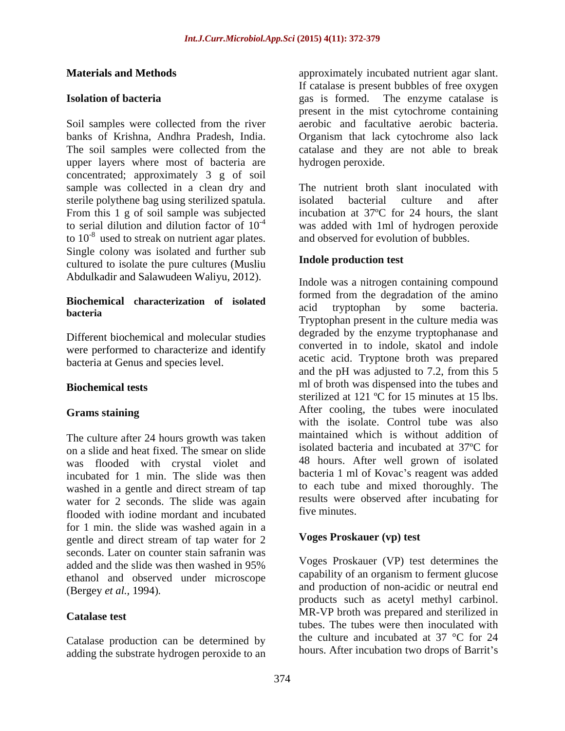Soil samples were collected from the river aerobic and facultative aerobic bacteria. banks of Krishna, Andhra Pradesh, India. Organism that lack cytochrome also lack The soil samples were collected from the catalase and they are not able to break upper layers where most of bacteria are concentrated; approximately 3 g of soil sample was collected in a clean dry and sterile polythene bag using sterilized spatula. From this 1 g of soil sample was subjected<br>to serial dilution and dilution factor of  $10^{-4}$ to  $10^{-8}$  used to streak on nutrient agar plates. and observed for evolution of bubbles. Single colony was isolated and further sub cultured to isolate the pure cultures (Musliu Abdulkadir and Salawudeen Waliyu, 2012).

# **Biochemical characterization of isolated**  $\begin{array}{c} \text{nonmed from the degradation of the anni-} \\ \text{acid} \quad \text{tryptophan} \quad \text{by} \quad \text{some} \quad \text{bacteria.} \end{array}$

Different biochemical and molecular studies were performed to characterize and identify bacteria at Genus and species level.

The culture after 24 hours growth was taken on a slide and heat fixed. The smear on slide was flooded with crystal violet and incubated for 1 min. The slide was then washed in a gentle and direct stream of tap water for 2 seconds. The slide was again results were<br>flooded with joding mordant and inquired five minutes. flooded with iodine mordant and incubated for 1 min. the slide was washed again in a gentle and direct stream of tap water for 2 seconds. Later on counter stain safranin was added and the slide was then washed in 95% voges Proskauer (VP) lest determines the ethanol and observed under microscope

Catalase production can be determined by adding the substrate hydrogen peroxide to an

**Materials and Methods approximately incubated nutrient agar slant. Isolation of bacteria** example and the gas is formed. The enzyme catalase is If catalase is present bubbles of free oxygen gas is formed. The enzyme catalase is present in the mist cytochrome containing hydrogen peroxide.

to serial dilution and dilution factor of  $10^{-4}$  was added with 1ml of hydrogen peroxide The nutrient broth slant inoculated with isolated bacterial culture and after incubation at 37ºC for 24 hours, the slant and observed for evolution of bubbles.

#### **Indole production test**

**bacteria** and a superposition of the contract of the contract of the contract of the contract of the contract of the contract of the contract of the contract of the contract of the contract of the contract of the contract **Biochemical tests** ml of broth was dispensed into the tubes and **Grams staining** After cooling, the tubes were inoculated Indole was a nitrogen containing compound formed from the degradation of the amino acid tryptophan by some bacteria. Tryptophan present in the culture media was degraded by the enzyme tryptophanase and converted in to indole, skatol and indole acetic acid. Tryptone broth was prepared and the pH was adjusted to 7.2, from this 5 sterilized at 121 °C for 15 minutes at 15 lbs. with the isolate. Control tube was also maintained which is without addition of isolated bacteria and incubated at 37ºC for 48 hours. After well grown of isolated bacteria 1 ml of Kovac's reagent was added to each tube and mixed thoroughly. The results were observed after incubating for five minutes.

#### **Voges Proskauer (vp) test**

(Bergey *et al.,* 1994)*.* and production of non-acidic or neutral end **Catalase test** MR-VP broth was prepared and sterilized in Voges Proskauer (VP) test determines the capability of an organism to ferment glucose products such as acetyl methyl carbinol. tubes. The tubes were then inoculated with the culture and incubated at 37 °C for 24 hours. After incubation two drops of Barrit's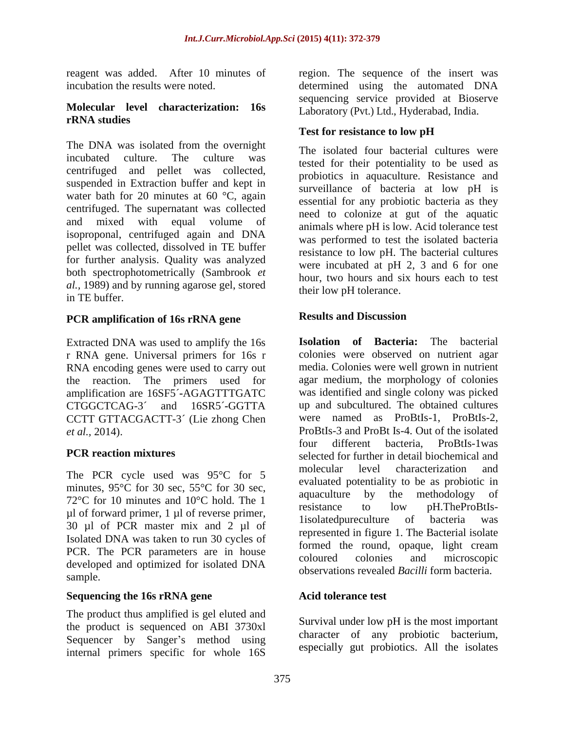#### **Molecular level characterization: 16s rRNA studies**

The DNA was isolated from the overnight centrifuged and pellet was collected, suspended in Extraction buffer and kept in water bath for 20 minutes at 60 °C, again centrifuged. The supernatant was collected isoproponal, centrifuged again and DNA pellet was collected, dissolved in TE buffer for further analysis. Quality was analyzed both spectrophotometrically (Sambrook *et al.,* 1989) and by running agarose gel, stored in TE buffer.

## **PCR** amplification of 16s rRNA gene Results and Discussion

Extracted DNA was used to amplify the 16s r RNA gene. Universal primers for 16s r RNA encoding genes were used to carry out the reaction. The primers used for amplification are 16SF5´**-**AGAGTTTGATC CCTT GTTACGACTT-3´ (Lie zhong Chen

minutes,  $95^{\circ}$ C for 30 sec,  $55^{\circ}$ C for 30 sec, evaluated potentiality to be as proported in a second- $72^{\circ}$ C for 10 minutes and 10<sup>°</sup>C hold. The 1 aquaculus by the inemodology of resistance to low pH. The ProBtIs- $\mu$ l of forward primer, 1  $\mu$ l of reverse primer,<br>
1 isolated bureculture of bacteria was 30 µl of PCR master mix and 2 µl of Isolated DNA was taken to run 30 cycles of PCR. The PCR parameters are in house to coloured the round, opaque, fight cream developed and optimized for isolated DNA coloured colonies and incroscopic<br>observations revealed Bacilli form bacteria. sample.

#### **Sequencing the 16s rRNA gene**

The product thus amplified is gel eluted and the product is sequenced on ABI 3730xl Sequencer by Sanger's method using internal primers specific for whole 16S

reagent was added. After 10 minutes of region. The sequence of the insert was incubation the results were noted. determined using the automated DNA sequencing service provided at Bioserve Laboratory (Pvt.) Ltd., Hyderabad, India.

### **Test for resistance to low pH**

incubated culture. The culture was<br>tested for their potentiality to be used as and mixed with equal volume of animals where pH is low. Acid tolerance test The isolated four bacterial cultures were probiotics in aquaculture. Resistance and surveillance of bacteria at low pH is essential for any probiotic bacteria as they need to colonize at gut of the aquatic was performed to test the isolated bacteria resistance to low pH. The bacterial cultures were incubated at pH 2, 3 and 6 for one hour, two hours and six hours each to test their low pH tolerance.

#### **Results and Discussion**

CTGGCTCAG-3´ and 16SR5´**-**GGTTA up and subcultured. The obtained cultures *et al.,* 2014). ProBtIs-3 and ProBt Is-4. Out of the isolated **PCR reaction mixtures** selected for further in detail biochemical and The PCR cycle used was 95°C for 5 molecular level characterization and **Isolation of Bacteria:** The bacterial colonies were observed on nutrient agar media. Colonies were well grown in nutrient agar medium, the morphology of colonies was identified and single colony was picked were named as ProBtIs-1, ProBtIs-2, four different bacteria, ProBtIs-1was molecular level characterization and evaluated potentiality to be as probiotic in aquaculture by the methodology resistance to low pH.TheProBtIs- 1isolatedpureculture of represented in figure 1. The Bacterial isolate formed the round, opaque, light cream coloured colonies and microscopic observations revealed *Bacilli* form bacteria.

#### **Acid tolerance test**

Survival under low pH is the most important character of any probiotic bacterium, especially gut probiotics. All the isolates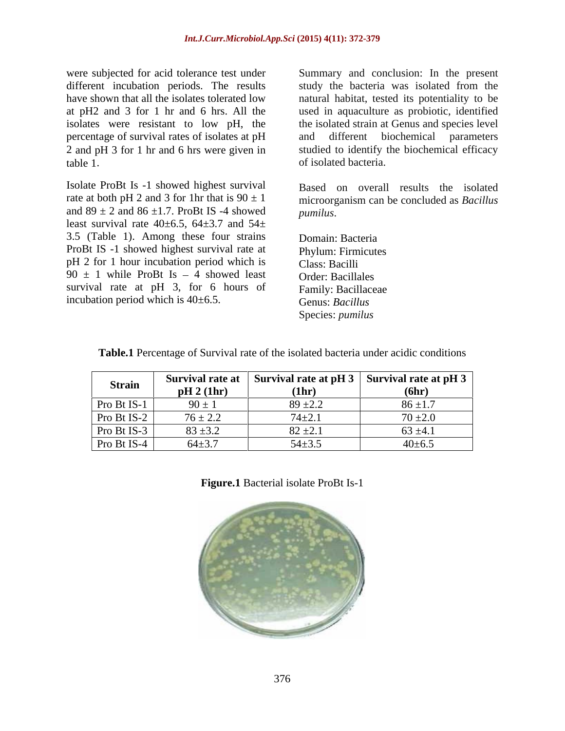were subjected for acid tolerance test under Summary and conclusion: In the present different incubation periods. The results study the bacteria was isolated from the have shown that all the isolates tolerated low natural habitat, tested its potentiality to be at pH2 and 3 for 1 hr and 6 hrs. All the used in aquaculture as probiotic, identified isolates were resistant to low pH, the percentage of survival rates of isolates at pH 2 and pH 3 for 1 hr and 6 hrs were given in

table 1.<br>Isolate ProBt Is -1 showed highest survival a reasonal parameterial problem isolated bacteria. rate at both pH 2 and 3 for 1hr that is  $90 \pm 1$ and  $89 \pm 2$  and  $86 \pm 1.7$ . ProBt IS -4 showed pumilus. least survival rate  $40\pm6.5$ ,  $64\pm3.7$  and  $54\pm$ 3.5 (Table 1). Among these four strains ProBt IS -1 showed highest survival rate at pH 2 for 1 hour incubation period which is Class: Bacilli  $90 \pm 1$  while ProBt Is - 4 showed least Order: Bacillales survival rate at pH 3, for 6 hours of Family: Bacillaceae incubation period which is 40±6.5. Genus: Bacillus

the isolated strain at Genus and species level and different biochemical parameters studied to identify the biochemical efficacy of isolated bacteria.

Based on overall results the isolated microorganism can be concluded as *Bacillus pumilus*.

Domain: Bacteria Phylum: Firmicutes Class: Bacilli Order: Bacillales Family: Bacillaceae Genus: *Bacillus* Species: *pumilus*

| <b>Strain</b> | Survival rate at<br>pH 2 (1hr) | Survival rate at $pH$ 3<br>(1hr) | Survival rate at pH $3 \mid$<br>(6hr) |
|---------------|--------------------------------|----------------------------------|---------------------------------------|
| Pro Bt IS-1   | $90 \pm 1$                     | $89 \pm 2.2$                     | $86 \pm 1.7$                          |
| Pro Bt IS-2   | $76 \pm 2.2$                   | $74 + 2.$                        | $70+$<br>$\sim$ $\sim$<br>/ ∪ ⊥∠.∪    |
| Pro Bt IS-3   | $83 + 3.2$                     | $82 \pm 2.1$                     | $63 \pm 4.1$                          |
| Pro Bt IS-4   | $64 + 3.7$                     | $54 \pm 3.$                      | 0±6.≳                                 |

**Table.1** Percentage of Survival rate of the isolated bacteria under acidic conditions

**Figure.1** Bacterial isolate ProBt Is-1

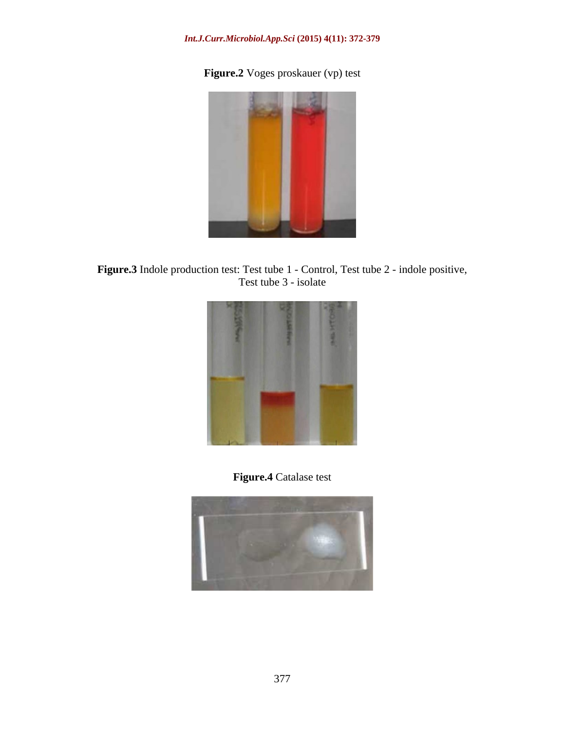### *Int.J.Curr.Microbiol.App.Sci* **(2015) 4(11): 372-379**

## **Figure.2** Voges proskauer (vp) test



**Figure.3** Indole production test: Test tube 1 - Control, Test tube 2 - indole positive,<br>Test tube 3 - isolate Test tube 3 - isolate



### **Figure.4** Catalase test

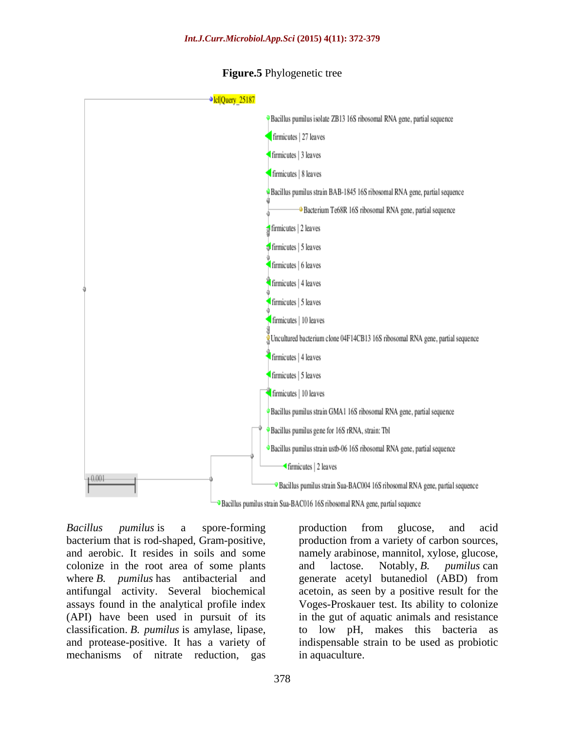

#### **Figure.5** Phylogenetic tree

<sup>3</sup> Bacillus pumilus strain Sua-BAC016 16S ribosomal RNA gene, partial sequence

*Bacillus pumilus* is a spore-forming bacterium that is rod-shaped, Gram-positive, production from a variety of carbon sources, and aerobic. It resides in soils and some namely arabinose, mannitol, xylose, glucose, colonize in the root area of some plants and lactose. Notably, B. *pumilus* can where *B. pumilus* has antibacterial and generate acetyl butanediol (ABD) from antifungal activity. Several biochemical acetoin, as seen by a positive result for the assays found in the analytical profile index Voges-Proskauer test. Its ability to colonize (API) have been used in pursuit of its in the gut of aquatic animals and resistance classification. *B. pumilus* is amylase, lipase, to low pH, makes this bacteria as and protease-positive. It has a variety of indispensable strain to be used as probiotic mechanisms of nitrate reduction, gas

production from glucose, and acid and lactose. Notably, *B. pumilus* can in aquaculture.